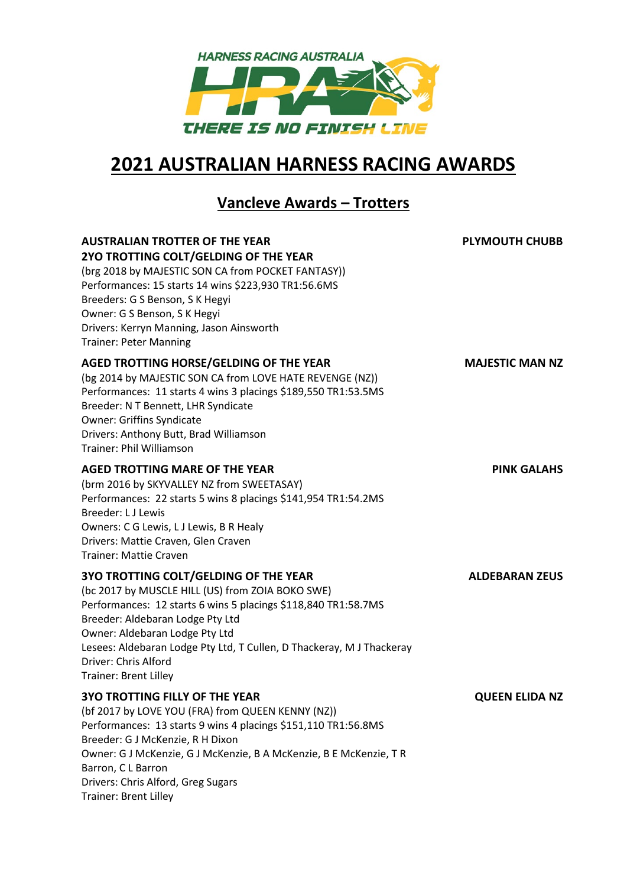

## **2021 AUSTRALIAN HARNESS RACING AWARDS**

## **Vancleve Awards – Trotters**

| <b>AUSTRALIAN TROTTER OF THE YEAR</b><br>2YO TROTTING COLT/GELDING OF THE YEAR<br>(brg 2018 by MAJESTIC SON CA from POCKET FANTASY))<br>Performances: 15 starts 14 wins \$223,930 TR1:56.6MS<br>Breeders: G S Benson, S K Hegyi<br>Owner: G S Benson, S K Hegyi<br>Drivers: Kerryn Manning, Jason Ainsworth<br><b>Trainer: Peter Manning</b>                              | <b>PLYMOUTH CHUBB</b>  |
|---------------------------------------------------------------------------------------------------------------------------------------------------------------------------------------------------------------------------------------------------------------------------------------------------------------------------------------------------------------------------|------------------------|
| AGED TROTTING HORSE/GELDING OF THE YEAR<br>(bg 2014 by MAJESTIC SON CA from LOVE HATE REVENGE (NZ))<br>Performances: 11 starts 4 wins 3 placings \$189,550 TR1:53.5MS<br>Breeder: N T Bennett, LHR Syndicate<br><b>Owner: Griffins Syndicate</b><br>Drivers: Anthony Butt, Brad Williamson<br><b>Trainer: Phil Williamson</b>                                             | <b>MAJESTIC MAN NZ</b> |
| <b>AGED TROTTING MARE OF THE YEAR</b><br>(brm 2016 by SKYVALLEY NZ from SWEETASAY)<br>Performances: 22 starts 5 wins 8 placings \$141,954 TR1:54.2MS<br>Breeder: L J Lewis<br>Owners: C G Lewis, L J Lewis, B R Healy<br>Drivers: Mattie Craven, Glen Craven<br><b>Trainer: Mattie Craven</b>                                                                             | <b>PINK GALAHS</b>     |
| <b>3YO TROTTING COLT/GELDING OF THE YEAR</b><br>(bc 2017 by MUSCLE HILL (US) from ZOIA BOKO SWE)<br>Performances: 12 starts 6 wins 5 placings \$118,840 TR1:58.7MS<br>Breeder: Aldebaran Lodge Pty Ltd<br>Owner: Aldebaran Lodge Pty Ltd<br>Lesees: Aldebaran Lodge Pty Ltd, T Cullen, D Thackeray, M J Thackeray<br>Driver: Chris Alford<br><b>Trainer: Brent Lilley</b> | <b>ALDEBARAN ZEUS</b>  |
| <b>3YO TROTTING FILLY OF THE YEAR</b><br>(bf 2017 by LOVE YOU (FRA) from QUEEN KENNY (NZ))<br>Performances: 13 starts 9 wins 4 placings \$151,110 TR1:56.8MS<br>Breeder: G J McKenzie, R H Dixon<br>Owner: G J McKenzie, G J McKenzie, B A McKenzie, B E McKenzie, T R<br>Barron, C L Barron<br>Drivers: Chris Alford, Greg Sugars                                        | <b>QUEEN ELIDA NZ</b>  |

Trainer: Brent Lilley